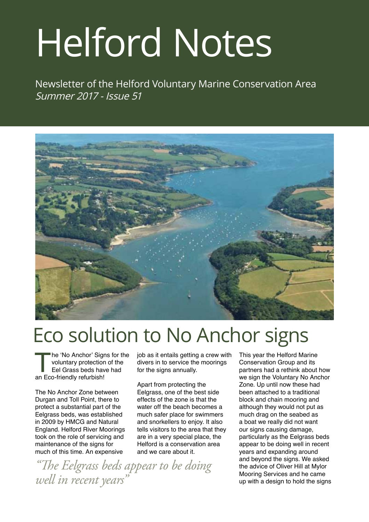# Helford Notes

Newsletter of the Helford Voluntary Marine Conservation Area Summer 2017 - Issue 51



# Eco solution to No Anchor signs

The 'No Anchor' Signs for the<br>voluntary protection of the<br>Eel Grass beds have had<br>an Eco-friendly refurbish! voluntary protection of the Eel Grass beds have had an Eco-friendly refurbish!

The No Anchor Zone between Durgan and Toll Point, there to protect a substantial part of the Eelgrass beds, was established in 2009 by HMCG and Natural England. Helford River Moorings took on the role of servicing and maintenance of the signs for much of this time. An expensive

job as it entails getting a crew with divers in to service the moorings for the signs annually.

Apart from protecting the Eelgrass, one of the best side effects of the zone is that the water off the beach becomes a much safer place for swimmers and snorkellers to enjoy. It also tells visitors to the area that they are in a very special place, the Helford is a conservation area and we care about it.

*"The Eelgrass beds appear to be doing well in recent years"*

This year the Helford Marine Conservation Group and its partners had a rethink about how we sign the Voluntary No Anchor Zone. Up until now these had been attached to a traditional block and chain mooring and although they would not put as much drag on the seabed as a boat we really did not want our signs causing damage, particularly as the Eelgrass beds appear to be doing well in recent years and expanding around and beyond the signs. We asked the advice of Oliver Hill at Mylor Mooring Services and he came up with a design to hold the signs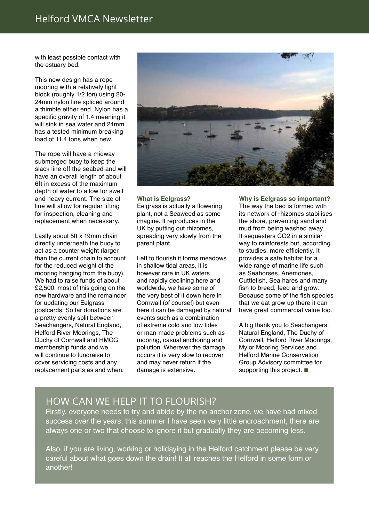#### Helford VMCA Newsletter

with least possible contact with the estuary bed.

This new design has a rope mooring with a relatively light block (roughly 1/2 ton) using 20- 24mm nylon line spliced around a thimble either end. Nylon has a specific gravity of 1.4 meaning it will sink in sea water and 24mm has a tested minimum breaking load of 11.4 tons when new.

The rope will have a midway submerged buoy to keep the slack line off the seabed and will have an overall length of about 6ft in excess of the maximum depth of water to allow for swell and heavy current. The size of line will allow for regular lifting for inspection, cleaning and replacement when necessary.

Lastly about 5ft x 19mm chain directly underneath the buoy to act as a counter weight (larger than the current chain to account for the reduced weight of the mooring hanging from the buoy). We had to raise funds of about £2,500, most of this going on the new hardware and the remainder for updating our Eelgrass postcards. So far donations are a pretty evenly split between Seachangers, Natural England, Helford River Moorings, The Duchy of Cornwall and HMCG membership funds and we will continue to fundraise to cover servicing costs and any replacement parts as and when.



#### **What is Eelgrass?**

Eelgrass is actually a flowering plant, not a Seaweed as some imagine. It reproduces in the UK by putting out rhizomes, spreading very slowly from the parent plant.

Left to flourish it forms meadows in shallow tidal areas, it is however rare in UK waters and rapidly declining here and worldwide, we have some of the very best of it down here in Cornwall (of course!) but even here it can be damaged by natural events such as a combination of extreme cold and low tides or man-made problems such as mooring, casual anchoring and pollution. Wherever the damage occurs it is very slow to recover and may never return if the damage is extensive.

**Why is Eelgrass so important?** The way the bed is formed with its network of rhizomes stabilises the shore, preventing sand and mud from being washed away. It sequesters CO2 in a similar way to rainforests but, according to studies, more efficiently. It provides a safe habitat for a wide range of marine life such as Seahorses, Anemones, Cuttlefish, Sea hares and many fish to breed, feed and grow. Because some of the fish species that we eat grow up there it can have great commercial value too.

A big thank you to Seachangers, Natural England, The Duchy of Cornwall, Helford River Moorings, Mylor Mooring Services and Helford Marine Conservation Group Advisory committee for supporting this project.  $\blacksquare$ 

#### How can we help it to flourish?

Firstly, everyone needs to try and abide by the no anchor zone, we have had mixed success over the years, this summer I have seen very little encroachment, there are always one or two that choose to ignore it but gradually they are becoming less.

Also, if you are living, working or holidaying in the Helford catchment please be very careful about what goes down the drain! It all reaches the Helford in some form or another!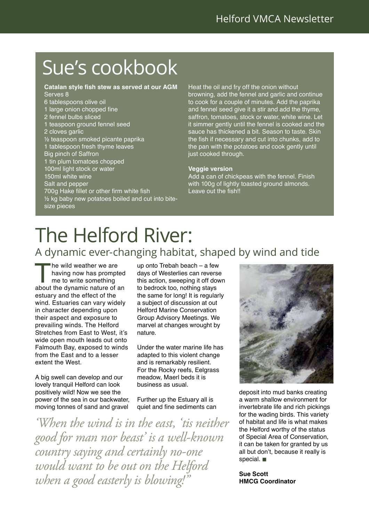# Sue's cookbook

#### **Catalan style fish stew as served at our AGM** Serves 8

- 6 tablespoons olive oil
- 1 large onion chopped fine
- 2 fennel bulbs sliced
- 1 teaspoon ground fennel seed
- 2 cloves garlic
- ½ teaspoon smoked picante paprika
- 1 tablespoon fresh thyme leaves
- Big pinch of Saffron
- 1 tin plum tomatoes chopped
- 100ml light stock or water
- 150ml white wine
- Salt and pepper
- 700g Hake fillet or other firm white fish
- ½ kg baby new potatoes boiled and cut into bitesize pieces

Heat the oil and fry off the onion without browning, add the fennel and garlic and continue to cook for a couple of minutes. Add the paprika and fennel seed give it a stir and add the thyme, saffron, tomatoes, stock or water, white wine. Let it simmer gently until the fennel is cooked and the sauce has thickened a bit. Season to taste. Skin the fish if necessary and cut into chunks, add to the pan with the potatoes and cook gently until just cooked through.

#### **Veggie version**

Add a can of chickpeas with the fennel. Finish with 100g of lightly toasted ground almonds. Leave out the fish!!

# The Helford River:

#### A dynamic ever-changing habitat, shaped by wind and tide

The wild weather we are<br>
having now has prompted<br>
me to write something<br>
about the dynamic nature of an having now has prompted me to write something estuary and the effect of the wind. Estuaries can vary widely in character depending upon their aspect and exposure to prevailing winds. The Helford Stretches from East to West, it's wide open mouth leads out onto Falmouth Bay, exposed to winds from the East and to a lesser extent the West.

A big swell can develop and our lovely tranquil Helford can look positively wild! Now we see the power of the sea in our backwater, moving tonnes of sand and gravel

up onto Trebah beach – a few days of Westerlies can reverse this action, sweeping it off down to bedrock too, nothing stays the same for long! It is regularly a subject of discussion at out Helford Marine Conservation Group Advisory Meetings. We marvel at changes wrought by nature.

Under the water marine life has adapted to this violent change and is remarkably resilient. For the Rocky reefs, Eelgrass meadow, Maerl beds it is business as usual.

Further up the Estuary all is quiet and fine sediments can

*'When the wind is in the east, 'tis neither good for man nor beast' is a well-known country saying and certainly no-one would want to be out on the Helford when a good easterly is blowing!"*



deposit into mud banks creating a warm shallow environment for invertebrate life and rich pickings for the wading birds. This variety of habitat and life is what makes the Helford worthy of the status of Special Area of Conservation, it can be taken for granted by us all but don't, because it really is special.  $\blacksquare$ 

**Sue Scott HMCG Coordinator**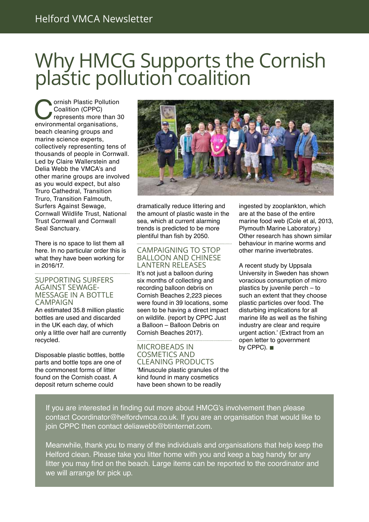### Why HMCG Supports the Cornish plastic pollution coalition

**Consultion Conduction Conduction Conduction**<br> **Conduction** (CPPC)<br> **Conduction** conductions,<br> **Conduction** conductions, Coalition (CPPC) represents more than 30 beach cleaning groups and marine science experts, collectively representing tens of thousands of people in Cornwall. Led by Claire Wallerstein and Delia Webb the VMCA's and other marine groups are involved as you would expect, but also Truro Cathedral, Transition Truro, Transition Falmouth, Surfers Against Sewage, Cornwall Wildlife Trust, National Trust Cornwall and Cornwall Seal Sanctuary.

There is no space to list them all here. In no particular order this is what they have been working for in 2016/17.

#### SUPPORTING SURFERS<br>AGAINST SEWAGE-MESSAGE IN A BOTTLE **CAMPAIGN**

An estimated 35.8 million plastic bottles are used and discarded in the UK each day, of which only a little over half are currently recycled.

Disposable plastic bottles, bottle parts and bottle tops are one of the commonest forms of litter found on the Cornish coast. A deposit return scheme could



dramatically reduce littering and the amount of plastic waste in the sea, which at current alarming trends is predicted to be more plentiful than fish by 2050.

#### Campaigning to stop Balloon and Chinese Lantern Releases

It's not just a balloon during six months of collecting and recording balloon debris on Cornish Beaches 2,223 pieces were found in 39 locations, some seen to be having a direct impact on wildlife. (report by CPPC Just a Balloon – Balloon Debris on Cornish Beaches 2017).

Microbeads in COSMETICS AND Cleaning Products 'Minuscule plastic granules of the kind found in many cosmetics have been shown to be readily

ingested by zooplankton, which are at the base of the entire marine food web (Cole et al, 2013, Plymouth Marine Laboratory.) Other research has shown similar behaviour in marine worms and other marine invertebrates.

A recent study by Uppsala University in Sweden has shown voracious consumption of micro plastics by juvenile perch – to such an extent that they choose plastic particles over food. The disturbing implications for all marine life as well as the fishing industry are clear and require urgent action.' (Extract from an open letter to government by CPPC).  $\blacksquare$ 

If you are interested in finding out more about HMCG's involvement then please contact Coordinator@helfordvmca.co.uk. If you are an organisation that would like to join CPPC then contact deliawebb@btinternet.com.

Meanwhile, thank you to many of the individuals and organisations that help keep the Helford clean. Please take you litter home with you and keep a bag handy for any litter you may find on the beach. Large items can be reported to the coordinator and we will arrange for pick up.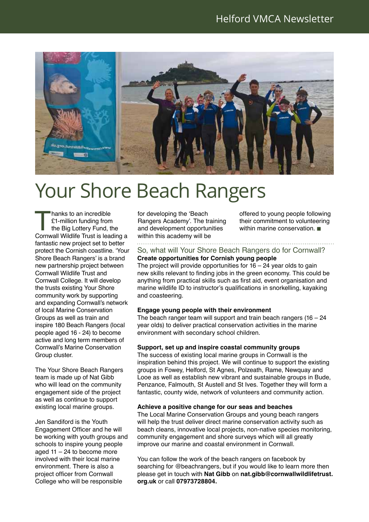

### Your Shore Beach Rangers

hanks to an incredible<br>
£1-million funding from<br>
the Big Lottery Fund, the<br>
Cornwall Wildlife Trust is leading a £1-million funding from the Big Lottery Fund, the fantastic new project set to better protect the Cornish coastline. 'Your Shore Beach Rangers' is a brand new partnership project between Cornwall Wildlife Trust and Cornwall College. It will develop the trusts existing Your Shore community work by supporting and expanding Cornwall's network of local Marine Conservation Groups as well as train and inspire 180 Beach Rangers (local people aged 16 - 24) to become active and long term members of Cornwall's Marine Conservation Group cluster.

The Your Shore Beach Rangers team is made up of Nat Gibb who will lead on the community engagement side of the project as well as continue to support existing local marine groups.

Jen Sandiford is the Youth Engagement Officer and he will be working with youth groups and schools to inspire young people aged  $11 - 24$  to become more involved with their local marine environment. There is also a project officer from Cornwall College who will be responsible

for developing the 'Beach Rangers Academy'. The training and development opportunities within this academy will be

offered to young people following their commitment to volunteering within marine conservation.  $\blacksquare$ 

#### So, what will Your Shore Beach Rangers do for Cornwall?

#### **Create opportunities for Cornish young people**

The project will provide opportunities for  $16 - 24$  year olds to gain new skills relevant to finding jobs in the green economy. This could be anything from practical skills such as first aid, event organisation and marine wildlife ID to instructor's qualifications in snorkelling, kayaking and coasteering.

#### **Engage young people with their environment**

The beach ranger team will support and train beach rangers (16 – 24 year olds) to deliver practical conservation activities in the marine environment with secondary school children.

#### **Support, set up and inspire coastal community groups**

The success of existing local marine groups in Cornwall is the inspiration behind this project. We will continue to support the existing groups in Fowey, Helford, St Agnes, Polzeath, Rame, Newquay and Looe as well as establish new vibrant and sustainable groups in Bude, Penzance, Falmouth, St Austell and St Ives. Together they will form a fantastic, county wide, network of volunteers and community action.

#### **Achieve a positive change for our seas and beaches**

The Local Marine Conservation Groups and young beach rangers will help the trust deliver direct marine conservation activity such as beach cleans, innovative local projects, non-native species monitoring, community engagement and shore surveys which will all greatly improve our marine and coastal environment in Cornwall.

You can follow the work of the beach rangers on facebook by searching for @beachrangers, but if you would like to learn more then please get in touch with **Nat Gibb** on **nat.gibb@cornwallwildlifetrust. org.uk** or call **07973728804.**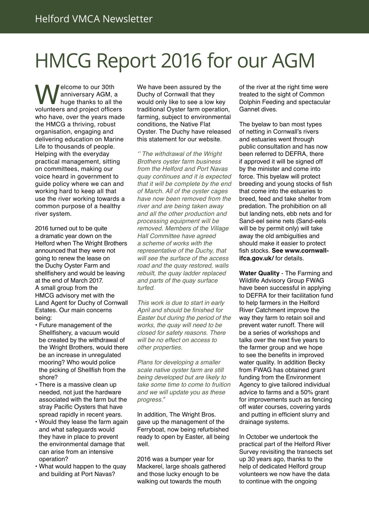## HMCG Report 2016 for our AGM

**Welcome to our 30th<br>Anniversary AGM, a**<br>volunteers and project officers anniversary AGM, a huge thanks to all the who have, over the years made the HMCG a thriving, robust organisation, engaging and delivering education on Marine Life to thousands of people. Helping with the everyday practical management, sitting on committees, making our voice heard in government to guide policy where we can and working hard to keep all that use the river working towards a common purpose of a healthy river system.

2016 turned out to be quite a dramatic year down on the Helford when The Wright Brothers announced that they were not going to renew the lease on the Duchy Oyster Farm and shellfishery and would be leaving at the end of March 2017. A small group from the HMCG advisory met with the Land Agent for Duchy of Cornwall Estates. Our main concerns being:

- Future management of the Shellfishery, a vacuum would be created by the withdrawal of the Wright Brothers, would there be an increase in unregulated mooring? Who would police the picking of Shellfish from the shore?
- There is a massive clean up needed, not just the hardware associated with the farm but the stray Pacific Oysters that have spread rapidly in recent years.
- Would they lease the farm again and what safeguards would they have in place to prevent the environmental damage that can arise from an intensive operation?
- What would happen to the quay and building at Port Navas?

We have been assured by the Duchy of Cornwall that they would only like to see a low key traditional Oyster farm operation, farming, subject to environmental conditions, the Native Flat Oyster. The Duchy have released this statement for our website.

'' The withdrawal of the Wright Brothers oyster farm business from the Helford and Port Navas quay continues and it is expected that it will be complete by the end of March. All of the oyster cages have now been removed from the river and are being taken away and all the other production and processing equipment will be removed. Members of the Village Hall Committee have agreed a scheme of works with the representative of the Duchy, that will see the surface of the access road and the quay restored, walls rebuilt, the quay ladder replaced and parts of the quay surface turfed.

This work is due to start in early April and should be finished for Easter but during the period of the works, the quay will need to be closed for safety reasons. There will be no effect on access to other properties.

Plans for developing a smaller scale native oyster farm are still being developed but are likely to take some time to come to fruition and we will update you as these progress."

In addition, The Wright Bros. gave up the management of the Ferryboat, now being refurbished ready to open by Easter, all being well.

2016 was a bumper year for Mackerel, large shoals gathered and those lucky enough to be walking out towards the mouth

of the river at the right time were treated to the sight of Common Dolphin Feeding and spectacular Gannet dives.

The byelaw to ban most types of netting in Cornwall's rivers and estuaries went through public consultation and has now been referred to DEFRA, there if approved it will be signed off by the minister and come into force. This byelaw will protect breeding and young stocks of fish that come into the estuaries to breed, feed and take shelter from predation. The prohibition on all but landing nets, ebb nets and for Sand-eel seine nets (Sand-eels will be by permit only) will take away the old ambiguities and should make it easier to protect fish stocks. **See www.cornwallifca.gov.uk/** for details.

**Water Quality** - The Farming and Wildlife Advisory Group FWAG have been successful in applying to DEFRA for their facilitation fund to help farmers in the Helford River Catchment improve the way they farm to retain soil and prevent water runoff. There will be a series of workshops and talks over the next five years to the farmer group and we hope to see the benefits in improved water quality. In addition Becky from FWAG has obtained grant funding from the Environment Agency to give tailored individual advice to farms and a 50% grant for improvements such as fencing off water courses, covering yards and putting in efficient slurry and drainage systems.

In October we undertook the practical part of the Helford River Survey revisiting the transects set up 30 years ago, thanks to the help of dedicated Helford group volunteers we now have the data to continue with the ongoing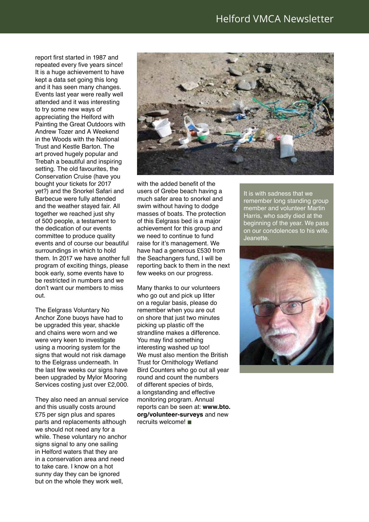report first started in 1987 and repeated every five years since! It is a huge achievement to have kept a data set going this long and it has seen many changes. Events last year were really well attended and it was interesting to try some new ways of appreciating the Helford with Painting the Great Outdoors with Andrew Tozer and A Weekend in the Woods with the National Trust and Kestle Barton. The art proved hugely popular and Trebah a beautiful and inspiring setting. The old favourites, the Conservation Cruise (have you bought your tickets for 2017 yet?) and the Snorkel Safari and Barbecue were fully attended and the weather stayed fair. All together we reached just shy of 500 people, a testament to the dedication of our events committee to produce quality events and of course our beautiful surroundings in which to hold them. In 2017 we have another full program of exciting things, please book early, some events have to be restricted in numbers and we don't want our members to miss out.

The Eelgrass Voluntary No Anchor Zone buoys have had to be upgraded this year, shackle and chains were worn and we were very keen to investigate using a mooring system for the signs that would not risk damage to the Eelgrass underneath. In the last few weeks our signs have been upgraded by Mylor Mooring Services costing just over £2,000.

They also need an annual service and this usually costs around £75 per sign plus and spares parts and replacements although we should not need any for a while. These voluntary no anchor signs signal to any one sailing in Helford waters that they are in a conservation area and need to take care. I know on a hot sunny day they can be ignored but on the whole they work well,



with the added benefit of the users of Grebe beach having a much safer area to snorkel and swim without having to dodge masses of boats. The protection of this Eelgrass bed is a major achievement for this group and we need to continue to fund raise for it's management. We have had a generous £530 from the Seachangers fund, I will be reporting back to them in the next few weeks on our progress.

Many thanks to our volunteers who go out and pick up litter on a regular basis, please do remember when you are out on shore that just two minutes picking up plastic off the strandline makes a difference. You may find something interesting washed up too! We must also mention the British Trust for Ornithology Wetland Bird Counters who go out all year round and count the numbers of different species of birds, a longstanding and effective monitoring program. Annual reports can be seen at: **www.bto. org/volunteer-surveys** and new  $recuits$  welcome!

It is with sadness that we remember long standing group member and volunteer Martin Harris, who sadly died at the beginning of the year. We pass on our condolences to his wife. Jeanette.